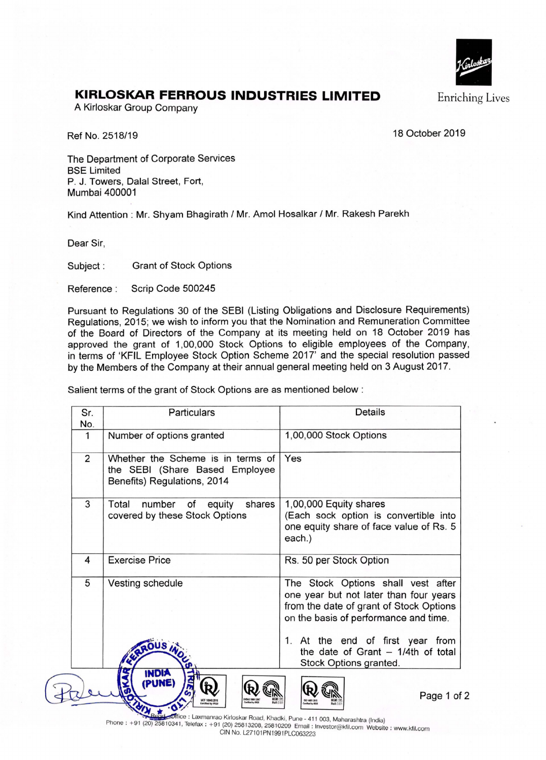

 $\overline{\mathbf{2}}$ 

## **KIRLOSKAR FERROUS INDUSTRIES LIMITED** Enriching Lives

A Kirloskar Group Company

Ref No. 2518/19 18 October 2019

The Department of Corporate Services BSE Limited P. J. Towers, Dalal Street, Fort, Mumbai 400001

Kind Attention : Mr. Shyam Bhagirath / Mr. Amol Hosalkar / Mr. Rakesh Parekh

Dear Sir,

Subject : Grant of Stock Options

 $\star$ 

Reference : Scrip Code 500245

Pursuant to Regulations 30 of the SEBI (Listing Obligations and Disclosure Requirements) Regulations, 2015; we wish to inform you that the Nomination and Remuneration Committee of the Board of Directors of the Company at its meeting held on 18 October 2019 has approved the grant of 1,00,000 Stock Options to eligible employees of the Company, in terms of 'KFIL Employee Stock Option Scheme 2017' and the special resolution passed by the Members of the Company at their annual general meeting held on 3 August 2017.

Salient terms of the grant of Stock Options are as mentioned below :

| Sr.<br>No.     | Particulars                                                                                        | <b>Details</b>                                                                                                                                                                                                                                                         |
|----------------|----------------------------------------------------------------------------------------------------|------------------------------------------------------------------------------------------------------------------------------------------------------------------------------------------------------------------------------------------------------------------------|
| 1              | Number of options granted                                                                          | 1,00,000 Stock Options                                                                                                                                                                                                                                                 |
| $\overline{2}$ | Whether the Scheme is in terms of<br>the SEBI (Share Based Employee<br>Benefits) Regulations, 2014 | Yes                                                                                                                                                                                                                                                                    |
| 3              | Total<br>number of<br>shares<br>equity<br>covered by these Stock Options                           | 1,00,000 Equity shares<br>(Each sock option is convertible into<br>one equity share of face value of Rs. 5<br>each.)                                                                                                                                                   |
| 4              | <b>Exercise Price</b>                                                                              | Rs. 50 per Stock Option                                                                                                                                                                                                                                                |
| 5              | Vesting schedule<br><b>OUS</b> in                                                                  | The Stock Options shall vest after<br>one year but not later than four years<br>from the date of grant of Stock Options<br>on the basis of performance and time.<br>1. At the end of first year from<br>the date of Grant $-1/4$ th of total<br>Stock Options granted. |
|                | <b>INDIA</b><br>(PUNE)                                                                             | Page 1 of                                                                                                                                                                                                                                                              |

e : Laxmanrao Kirloskar Road, Khadki, Pune - 411 003 Maharashtra (India) Phone : +91 (20) 25810341, Telefax : +91 (20) 25813208, 25810209 Email: Investor@kfil.com Website : www.kfil.com GIN No. L27101PN1991PLC063223